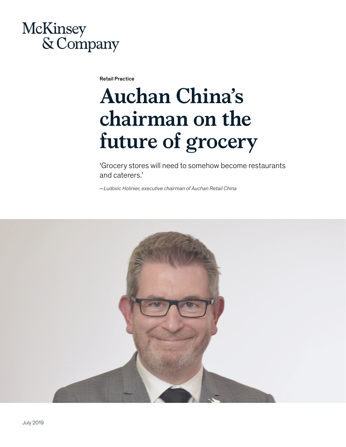## McKinsey & Company

Retail Practice

## **Auchan China's chairman on the future of grocery**

'Grocery stores will need to somehow become restaurants and caterers.'

*—Ludovic Holinier, executive chairman of Auchan Retail China*

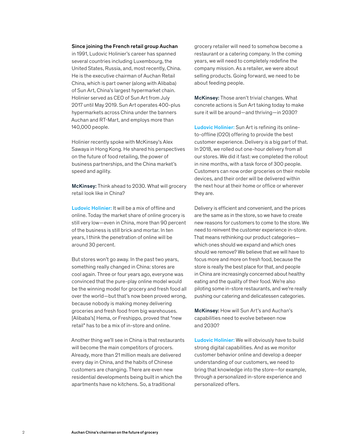## Since joining the French retail group Auchan

in 1991, Ludovic Holinier's career has spanned several countries including Luxembourg, the United States, Russia, and, most recently, China. He is the executive chairman of Auchan Retail China, which is part owner (along with Alibaba) of Sun Art, China's largest hypermarket chain. Holinier served as CEO of Sun Art from July 2017 until May 2019. Sun Art operates 400-plus hypermarkets across China under the banners Auchan and RT-Mart, and employs more than 140,000 people.

Holinier recently spoke with McKinsey's Alex Sawaya in Hong Kong. He shared his perspectives on the future of food retailing, the power of business partnerships, and the China market's speed and agility.

McKinsey: Think ahead to 2030. What will grocery retail look like in China?

Ludovic Holinier: It will be a mix of offline and online. Today the market share of online grocery is still very low—even in China, more than 90 percent of the business is still brick and mortar. In ten years, I think the penetration of online will be around 30 percent.

But stores won't go away. In the past two years, something really changed in China: stores are cool again. Three or four years ago, everyone was convinced that the pure-play online model would be the winning model for grocery and fresh food all over the world—but that's now been proved wrong, because nobody is making money delivering groceries and fresh food from big warehouses. [Alibaba's] Hema, or Freshippo, proved that "new retail" has to be a mix of in-store and online.

Another thing we'll see in China is that restaurants will become the main competitors of grocers. Already, more than 21 million meals are delivered every day in China, and the habits of Chinese customers are changing. There are even new residential developments being built in which the apartments have no kitchens. So, a traditional

grocery retailer will need to somehow become a restaurant or a catering company. In the coming years, we will need to completely redefine the company mission. As a retailer, we were about selling products. Going forward, we need to be about feeding people.

McKinsey: Those aren't trivial changes. What concrete actions is Sun Art taking today to make sure it will be around—and thriving—in 2030?

Ludovic Holinier: Sun Art is refining its onlineto-offline (O2O) offering to provide the best customer experience. Delivery is a big part of that. In 2018, we rolled out one-hour delivery from all our stores. We did it fast: we completed the rollout in nine months, with a task force of 300 people. Customers can now order groceries on their mobile devices, and their order will be delivered within the next hour at their home or office or wherever they are.

Delivery is efficient and convenient, and the prices are the same as in the store, so we have to create new reasons for customers to come to the store. We need to reinvent the customer experience in-store. That means rethinking our product categories which ones should we expand and which ones should we remove? We believe that we will have to focus more and more on fresh food, because the store is really the best place for that, and people in China are increasingly concerned about healthy eating and the quality of their food. We're also piloting some in-store restaurants, and we're really pushing our catering and delicatessen categories.

McKinsey: How will Sun Art's and Auchan's capabilities need to evolve between now and 2030?

Ludovic Holinier: We will obviously have to build strong digital capabilities. And as we monitor customer behavior online and develop a deeper understanding of our customers, we need to bring that knowledge into the store—for example, through a personalized in-store experience and personalized offers.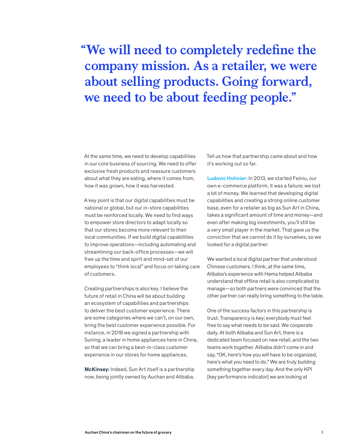## **"We will need to completely redefine the company mission. As a retailer, we were about selling products. Going forward, we need to be about feeding people."**

At the same time, we need to develop capabilities in our core business of sourcing. We need to offer exclusive fresh products and reassure customers about what they are eating, where it comes from, how it was grown, how it was harvested.

A key point is that our digital capabilities must be national or global, but our in-store capabilities must be reinforced locally. We need to find ways to empower store directors to adapt locally so that our stores become more relevant to their local communities. If we build digital capabilities to improve operations—including automating and streamlining our back-office processes—we will free up the time and spirit and mind-set of our employees to "think local" and focus on taking care of customers.

Creating partnerships is also key. I believe the future of retail in China will be about building an ecosystem of capabilities and partnerships to deliver the best customer experience. There are some categories where we can't, on our own, bring the best customer experience possible. For instance, in 2018 we signed a partnership with Suning, a leader in home appliances here in China, so that we can bring a best-in-class customer experience in our stores for home appliances.

McKinsey: Indeed, Sun Art itself is a partnership now, being jointly owned by Auchan and Alibaba. Tell us how that partnership came about and how it's working out so far.

Ludovic Holinier: In 2013, we started Feiniu, our own e-commerce platform. It was a failure; we lost a lot of money. We learned that developing digital capabilities and creating a strong online customer base, even for a retailer as big as Sun Art in China, takes a significant amount of time and money—and even after making big investments, you'll still be a very small player in the market. That gave us the conviction that we cannot do it by ourselves, so we looked for a digital partner.

We wanted a local digital partner that understood Chinese customers. I think, at the same time, Alibaba's experience with Hema helped Alibaba understand that offline retail is also complicated to manage—so both partners were convinced that the other partner can really bring something to the table.

One of the success factors in this partnership is trust. Transparency is key; everybody must feel free to say what needs to be said. We cooperate daily. At both Alibaba and Sun Art, there is a dedicated team focused on new retail, and the two teams work together. Alibaba didn't come in and say, "OK, here's how you will have to be organized, here's what you need to do." We are truly building something together every day. And the only KPI [key performance indicator] we are looking at